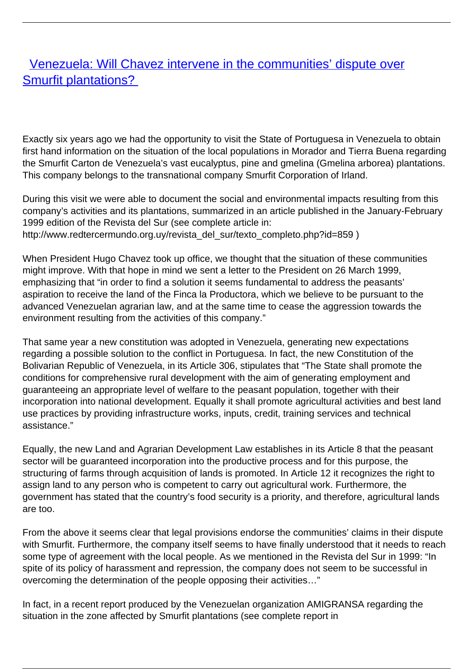## [Venezuela: Will Chavez intervene in the communities' dispute over](/bulletin-articles/venezuela-will-chavez-intervene-in-the-communities-dispute-over-smurfit-plantations) [Smurfit plantations?](/bulletin-articles/venezuela-will-chavez-intervene-in-the-communities-dispute-over-smurfit-plantations)

Exactly six years ago we had the opportunity to visit the State of Portuguesa in Venezuela to obtain first hand information on the situation of the local populations in Morador and Tierra Buena regarding the Smurfit Carton de Venezuela's vast eucalyptus, pine and gmelina (Gmelina arborea) plantations. This company belongs to the transnational company Smurfit Corporation of Irland.

During this visit we were able to document the social and environmental impacts resulting from this company's activities and its plantations, summarized in an article published in the January-February 1999 edition of the Revista del Sur (see complete article in: http://www.redtercermundo.org.uy/revista\_del\_sur/texto\_completo.php?id=859 )

When President Hugo Chavez took up office, we thought that the situation of these communities might improve. With that hope in mind we sent a letter to the President on 26 March 1999, emphasizing that "in order to find a solution it seems fundamental to address the peasants' aspiration to receive the land of the Finca la Productora, which we believe to be pursuant to the advanced Venezuelan agrarian law, and at the same time to cease the aggression towards the environment resulting from the activities of this company."

That same year a new constitution was adopted in Venezuela, generating new expectations regarding a possible solution to the conflict in Portuguesa. In fact, the new Constitution of the Bolivarian Republic of Venezuela, in its Article 306, stipulates that "The State shall promote the conditions for comprehensive rural development with the aim of generating employment and guaranteeing an appropriate level of welfare to the peasant population, together with their incorporation into national development. Equally it shall promote agricultural activities and best land use practices by providing infrastructure works, inputs, credit, training services and technical assistance."

Equally, the new Land and Agrarian Development Law establishes in its Article 8 that the peasant sector will be guaranteed incorporation into the productive process and for this purpose, the structuring of farms through acquisition of lands is promoted. In Article 12 it recognizes the right to assign land to any person who is competent to carry out agricultural work. Furthermore, the government has stated that the country's food security is a priority, and therefore, agricultural lands are too.

From the above it seems clear that legal provisions endorse the communities' claims in their dispute with Smurfit. Furthermore, the company itself seems to have finally understood that it needs to reach some type of agreement with the local people. As we mentioned in the Revista del Sur in 1999: "In spite of its policy of harassment and repression, the company does not seem to be successful in overcoming the determination of the people opposing their activities…"

In fact, in a recent report produced by the Venezuelan organization AMIGRANSA regarding the situation in the zone affected by Smurfit plantations (see complete report in